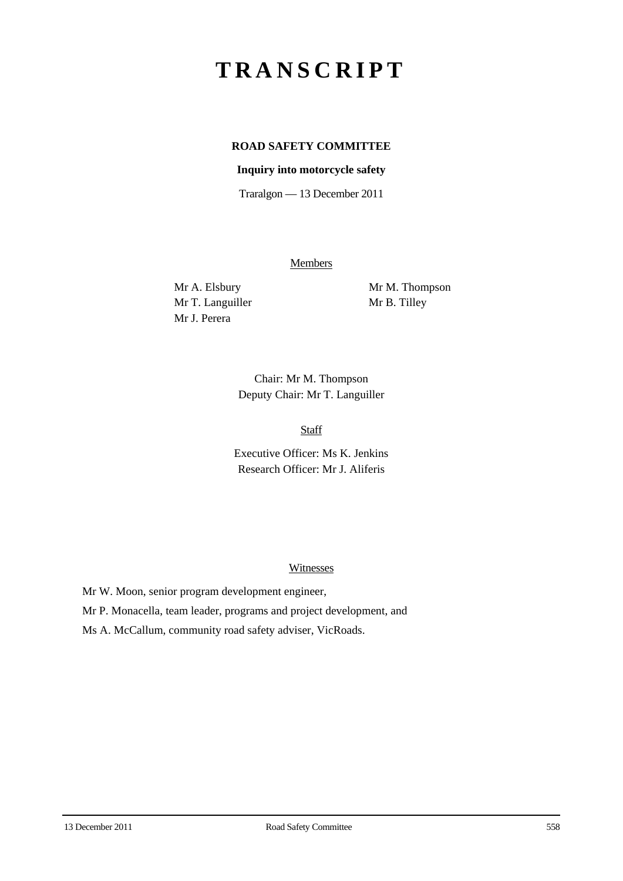# **TRANSCRIPT**

## **ROAD SAFETY COMMITTEE**

#### **Inquiry into motorcycle safety**

Traralgon — 13 December 2011

Members

Mr T. Languiller Mr B. Tilley Mr J. Perera

Mr A. Elsbury Mr M. Thompson

Chair: Mr M. Thompson Deputy Chair: Mr T. Languiller

Staff

Executive Officer: Ms K. Jenkins Research Officer: Mr J. Aliferis

#### Witnesses

Mr W. Moon, senior program development engineer,

Mr P. Monacella, team leader, programs and project development, and

Ms A. McCallum, community road safety adviser, VicRoads.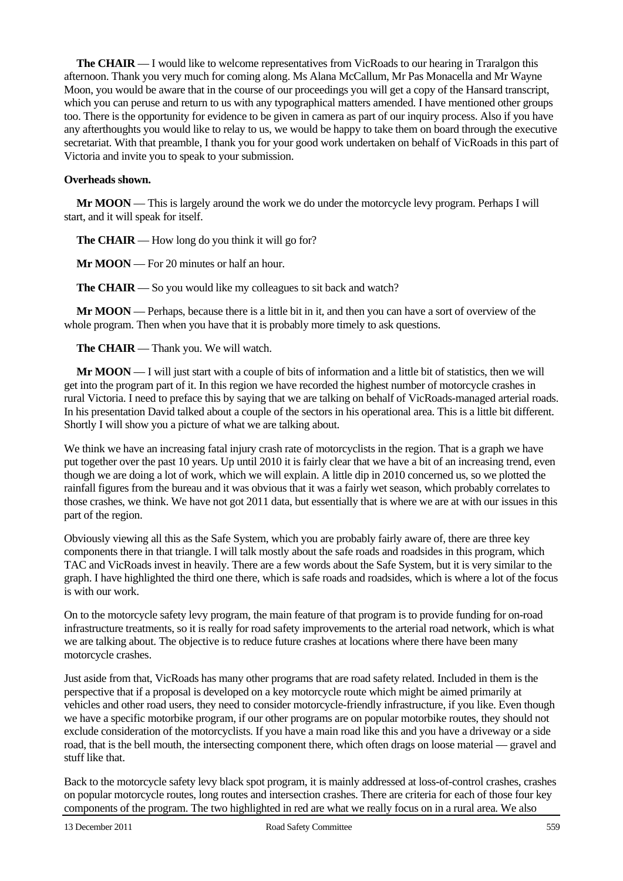**The CHAIR** — I would like to welcome representatives from VicRoads to our hearing in Traralgon this afternoon. Thank you very much for coming along. Ms Alana McCallum, Mr Pas Monacella and Mr Wayne Moon, you would be aware that in the course of our proceedings you will get a copy of the Hansard transcript, which you can peruse and return to us with any typographical matters amended. I have mentioned other groups too. There is the opportunity for evidence to be given in camera as part of our inquiry process. Also if you have any afterthoughts you would like to relay to us, we would be happy to take them on board through the executive secretariat. With that preamble, I thank you for your good work undertaken on behalf of VicRoads in this part of Victoria and invite you to speak to your submission.

#### **Overheads shown.**

**Mr MOON** — This is largely around the work we do under the motorcycle levy program. Perhaps I will start, and it will speak for itself.

**The CHAIR** — How long do you think it will go for?

**Mr MOON** — For 20 minutes or half an hour.

**The CHAIR** — So you would like my colleagues to sit back and watch?

**Mr MOON** — Perhaps, because there is a little bit in it, and then you can have a sort of overview of the whole program. Then when you have that it is probably more timely to ask questions.

**The CHAIR** — Thank you. We will watch.

**Mr MOON** — I will just start with a couple of bits of information and a little bit of statistics, then we will get into the program part of it. In this region we have recorded the highest number of motorcycle crashes in rural Victoria. I need to preface this by saying that we are talking on behalf of VicRoads-managed arterial roads. In his presentation David talked about a couple of the sectors in his operational area. This is a little bit different. Shortly I will show you a picture of what we are talking about.

We think we have an increasing fatal injury crash rate of motorcyclists in the region. That is a graph we have put together over the past 10 years. Up until 2010 it is fairly clear that we have a bit of an increasing trend, even though we are doing a lot of work, which we will explain. A little dip in 2010 concerned us, so we plotted the rainfall figures from the bureau and it was obvious that it was a fairly wet season, which probably correlates to those crashes, we think. We have not got 2011 data, but essentially that is where we are at with our issues in this part of the region.

Obviously viewing all this as the Safe System, which you are probably fairly aware of, there are three key components there in that triangle. I will talk mostly about the safe roads and roadsides in this program, which TAC and VicRoads invest in heavily. There are a few words about the Safe System, but it is very similar to the graph. I have highlighted the third one there, which is safe roads and roadsides, which is where a lot of the focus is with our work.

On to the motorcycle safety levy program, the main feature of that program is to provide funding for on-road infrastructure treatments, so it is really for road safety improvements to the arterial road network, which is what we are talking about. The objective is to reduce future crashes at locations where there have been many motorcycle crashes.

Just aside from that, VicRoads has many other programs that are road safety related. Included in them is the perspective that if a proposal is developed on a key motorcycle route which might be aimed primarily at vehicles and other road users, they need to consider motorcycle-friendly infrastructure, if you like. Even though we have a specific motorbike program, if our other programs are on popular motorbike routes, they should not exclude consideration of the motorcyclists. If you have a main road like this and you have a driveway or a side road, that is the bell mouth, the intersecting component there, which often drags on loose material — gravel and stuff like that.

Back to the motorcycle safety levy black spot program, it is mainly addressed at loss-of-control crashes, crashes on popular motorcycle routes, long routes and intersection crashes. There are criteria for each of those four key components of the program. The two highlighted in red are what we really focus on in a rural area. We also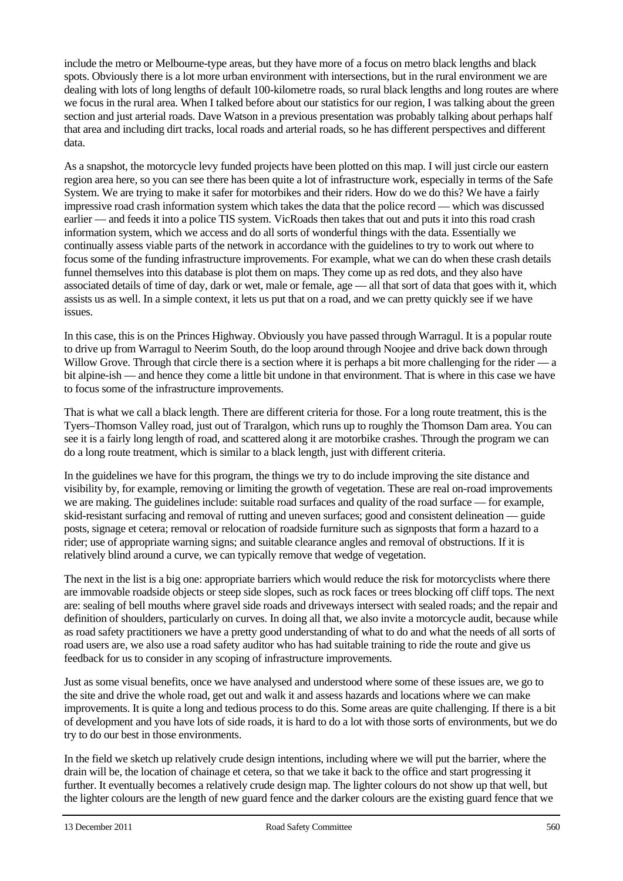include the metro or Melbourne-type areas, but they have more of a focus on metro black lengths and black spots. Obviously there is a lot more urban environment with intersections, but in the rural environment we are dealing with lots of long lengths of default 100-kilometre roads, so rural black lengths and long routes are where we focus in the rural area. When I talked before about our statistics for our region, I was talking about the green section and just arterial roads. Dave Watson in a previous presentation was probably talking about perhaps half that area and including dirt tracks, local roads and arterial roads, so he has different perspectives and different data.

As a snapshot, the motorcycle levy funded projects have been plotted on this map. I will just circle our eastern region area here, so you can see there has been quite a lot of infrastructure work, especially in terms of the Safe System. We are trying to make it safer for motorbikes and their riders. How do we do this? We have a fairly impressive road crash information system which takes the data that the police record — which was discussed earlier — and feeds it into a police TIS system. VicRoads then takes that out and puts it into this road crash information system, which we access and do all sorts of wonderful things with the data. Essentially we continually assess viable parts of the network in accordance with the guidelines to try to work out where to focus some of the funding infrastructure improvements. For example, what we can do when these crash details funnel themselves into this database is plot them on maps. They come up as red dots, and they also have associated details of time of day, dark or wet, male or female, age — all that sort of data that goes with it, which assists us as well. In a simple context, it lets us put that on a road, and we can pretty quickly see if we have issues.

In this case, this is on the Princes Highway. Obviously you have passed through Warragul. It is a popular route to drive up from Warragul to Neerim South, do the loop around through Noojee and drive back down through Willow Grove. Through that circle there is a section where it is perhaps a bit more challenging for the rider  $-a$ bit alpine-ish — and hence they come a little bit undone in that environment. That is where in this case we have to focus some of the infrastructure improvements.

That is what we call a black length. There are different criteria for those. For a long route treatment, this is the Tyers–Thomson Valley road, just out of Traralgon, which runs up to roughly the Thomson Dam area. You can see it is a fairly long length of road, and scattered along it are motorbike crashes. Through the program we can do a long route treatment, which is similar to a black length, just with different criteria.

In the guidelines we have for this program, the things we try to do include improving the site distance and visibility by, for example, removing or limiting the growth of vegetation. These are real on-road improvements we are making. The guidelines include: suitable road surfaces and quality of the road surface — for example, skid-resistant surfacing and removal of rutting and uneven surfaces; good and consistent delineation — guide posts, signage et cetera; removal or relocation of roadside furniture such as signposts that form a hazard to a rider; use of appropriate warning signs; and suitable clearance angles and removal of obstructions. If it is relatively blind around a curve, we can typically remove that wedge of vegetation.

The next in the list is a big one: appropriate barriers which would reduce the risk for motorcyclists where there are immovable roadside objects or steep side slopes, such as rock faces or trees blocking off cliff tops. The next are: sealing of bell mouths where gravel side roads and driveways intersect with sealed roads; and the repair and definition of shoulders, particularly on curves. In doing all that, we also invite a motorcycle audit, because while as road safety practitioners we have a pretty good understanding of what to do and what the needs of all sorts of road users are, we also use a road safety auditor who has had suitable training to ride the route and give us feedback for us to consider in any scoping of infrastructure improvements.

Just as some visual benefits, once we have analysed and understood where some of these issues are, we go to the site and drive the whole road, get out and walk it and assess hazards and locations where we can make improvements. It is quite a long and tedious process to do this. Some areas are quite challenging. If there is a bit of development and you have lots of side roads, it is hard to do a lot with those sorts of environments, but we do try to do our best in those environments.

In the field we sketch up relatively crude design intentions, including where we will put the barrier, where the drain will be, the location of chainage et cetera, so that we take it back to the office and start progressing it further. It eventually becomes a relatively crude design map. The lighter colours do not show up that well, but the lighter colours are the length of new guard fence and the darker colours are the existing guard fence that we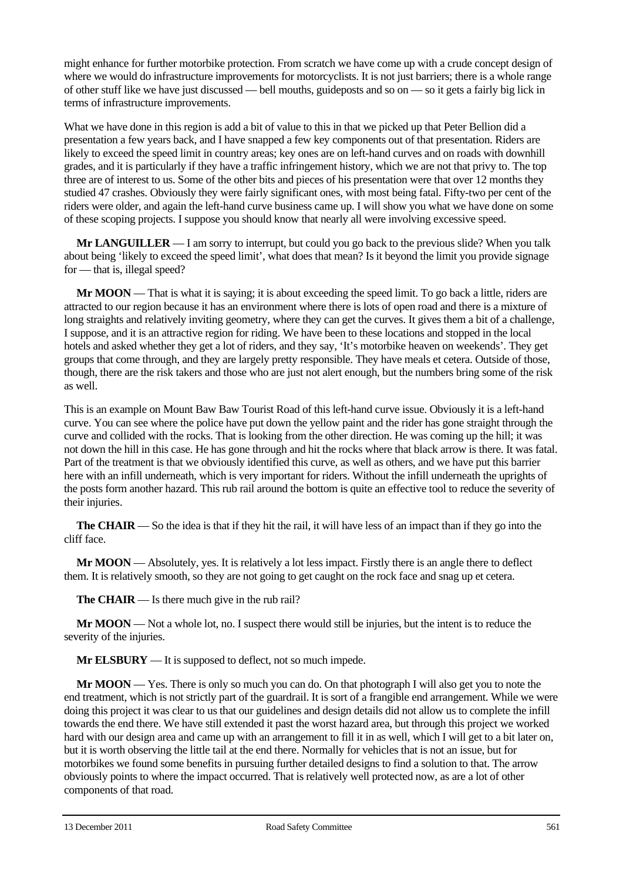might enhance for further motorbike protection. From scratch we have come up with a crude concept design of where we would do infrastructure improvements for motorcyclists. It is not just barriers; there is a whole range of other stuff like we have just discussed — bell mouths, guideposts and so on — so it gets a fairly big lick in terms of infrastructure improvements.

What we have done in this region is add a bit of value to this in that we picked up that Peter Bellion did a presentation a few years back, and I have snapped a few key components out of that presentation. Riders are likely to exceed the speed limit in country areas; key ones are on left-hand curves and on roads with downhill grades, and it is particularly if they have a traffic infringement history, which we are not that privy to. The top three are of interest to us. Some of the other bits and pieces of his presentation were that over 12 months they studied 47 crashes. Obviously they were fairly significant ones, with most being fatal. Fifty-two per cent of the riders were older, and again the left-hand curve business came up. I will show you what we have done on some of these scoping projects. I suppose you should know that nearly all were involving excessive speed.

**Mr LANGUILLER** — I am sorry to interrupt, but could you go back to the previous slide? When you talk about being 'likely to exceed the speed limit', what does that mean? Is it beyond the limit you provide signage for — that is, illegal speed?

**Mr MOON** — That is what it is saying; it is about exceeding the speed limit. To go back a little, riders are attracted to our region because it has an environment where there is lots of open road and there is a mixture of long straights and relatively inviting geometry, where they can get the curves. It gives them a bit of a challenge, I suppose, and it is an attractive region for riding. We have been to these locations and stopped in the local hotels and asked whether they get a lot of riders, and they say, 'It's motorbike heaven on weekends'. They get groups that come through, and they are largely pretty responsible. They have meals et cetera. Outside of those, though, there are the risk takers and those who are just not alert enough, but the numbers bring some of the risk as well.

This is an example on Mount Baw Baw Tourist Road of this left-hand curve issue. Obviously it is a left-hand curve. You can see where the police have put down the yellow paint and the rider has gone straight through the curve and collided with the rocks. That is looking from the other direction. He was coming up the hill; it was not down the hill in this case. He has gone through and hit the rocks where that black arrow is there. It was fatal. Part of the treatment is that we obviously identified this curve, as well as others, and we have put this barrier here with an infill underneath, which is very important for riders. Without the infill underneath the uprights of the posts form another hazard. This rub rail around the bottom is quite an effective tool to reduce the severity of their injuries.

**The CHAIR** — So the idea is that if they hit the rail, it will have less of an impact than if they go into the cliff face.

**Mr MOON** — Absolutely, yes. It is relatively a lot less impact. Firstly there is an angle there to deflect them. It is relatively smooth, so they are not going to get caught on the rock face and snag up et cetera.

**The CHAIR** — Is there much give in the rub rail?

**Mr MOON** — Not a whole lot, no. I suspect there would still be injuries, but the intent is to reduce the severity of the injuries.

**Mr ELSBURY** — It is supposed to deflect, not so much impede.

**Mr MOON** — Yes. There is only so much you can do. On that photograph I will also get you to note the end treatment, which is not strictly part of the guardrail. It is sort of a frangible end arrangement. While we were doing this project it was clear to us that our guidelines and design details did not allow us to complete the infill towards the end there. We have still extended it past the worst hazard area, but through this project we worked hard with our design area and came up with an arrangement to fill it in as well, which I will get to a bit later on, but it is worth observing the little tail at the end there. Normally for vehicles that is not an issue, but for motorbikes we found some benefits in pursuing further detailed designs to find a solution to that. The arrow obviously points to where the impact occurred. That is relatively well protected now, as are a lot of other components of that road.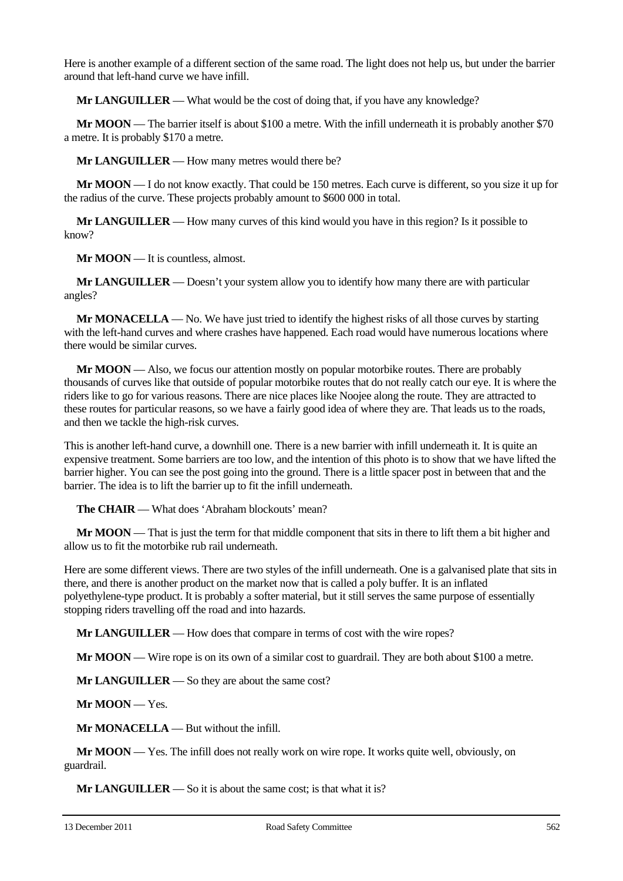Here is another example of a different section of the same road. The light does not help us, but under the barrier around that left-hand curve we have infill.

**Mr LANGUILLER** — What would be the cost of doing that, if you have any knowledge?

**Mr MOON** — The barrier itself is about \$100 a metre. With the infill underneath it is probably another \$70 a metre. It is probably \$170 a metre.

**Mr LANGUILLER** — How many metres would there be?

**Mr MOON** — I do not know exactly. That could be 150 metres. Each curve is different, so you size it up for the radius of the curve. These projects probably amount to \$600 000 in total.

**Mr LANGUILLER** — How many curves of this kind would you have in this region? Is it possible to know?

**Mr MOON** — It is countless, almost.

**Mr LANGUILLER** — Doesn't your system allow you to identify how many there are with particular angles?

**Mr MONACELLA** — No. We have just tried to identify the highest risks of all those curves by starting with the left-hand curves and where crashes have happened. Each road would have numerous locations where there would be similar curves.

**Mr MOON** — Also, we focus our attention mostly on popular motorbike routes. There are probably thousands of curves like that outside of popular motorbike routes that do not really catch our eye. It is where the riders like to go for various reasons. There are nice places like Noojee along the route. They are attracted to these routes for particular reasons, so we have a fairly good idea of where they are. That leads us to the roads, and then we tackle the high-risk curves.

This is another left-hand curve, a downhill one. There is a new barrier with infill underneath it. It is quite an expensive treatment. Some barriers are too low, and the intention of this photo is to show that we have lifted the barrier higher. You can see the post going into the ground. There is a little spacer post in between that and the barrier. The idea is to lift the barrier up to fit the infill underneath.

**The CHAIR** — What does 'Abraham blockouts' mean?

**Mr MOON** — That is just the term for that middle component that sits in there to lift them a bit higher and allow us to fit the motorbike rub rail underneath.

Here are some different views. There are two styles of the infill underneath. One is a galvanised plate that sits in there, and there is another product on the market now that is called a poly buffer. It is an inflated polyethylene-type product. It is probably a softer material, but it still serves the same purpose of essentially stopping riders travelling off the road and into hazards.

**Mr LANGUILLER** — How does that compare in terms of cost with the wire ropes?

**Mr MOON** — Wire rope is on its own of a similar cost to guardrail. They are both about \$100 a metre.

**Mr LANGUILLER** — So they are about the same cost?

**Mr MOON** — Yes.

**Mr MONACELLA** — But without the infill.

**Mr MOON** — Yes. The infill does not really work on wire rope. It works quite well, obviously, on guardrail.

**Mr LANGUILLER** — So it is about the same cost; is that what it is?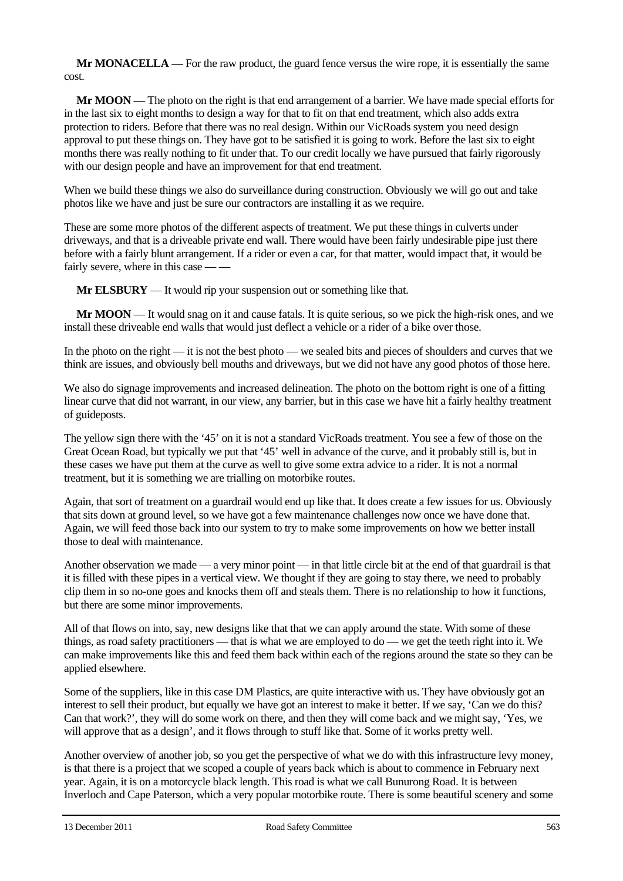**Mr MONACELLA** — For the raw product, the guard fence versus the wire rope, it is essentially the same cost.

**Mr MOON** — The photo on the right is that end arrangement of a barrier. We have made special efforts for in the last six to eight months to design a way for that to fit on that end treatment, which also adds extra protection to riders. Before that there was no real design. Within our VicRoads system you need design approval to put these things on. They have got to be satisfied it is going to work. Before the last six to eight months there was really nothing to fit under that. To our credit locally we have pursued that fairly rigorously with our design people and have an improvement for that end treatment.

When we build these things we also do surveillance during construction. Obviously we will go out and take photos like we have and just be sure our contractors are installing it as we require.

These are some more photos of the different aspects of treatment. We put these things in culverts under driveways, and that is a driveable private end wall. There would have been fairly undesirable pipe just there before with a fairly blunt arrangement. If a rider or even a car, for that matter, would impact that, it would be fairly severe, where in this case -

**Mr ELSBURY** — It would rip your suspension out or something like that.

**Mr MOON** — It would snag on it and cause fatals. It is quite serious, so we pick the high-risk ones, and we install these driveable end walls that would just deflect a vehicle or a rider of a bike over those.

In the photo on the right — it is not the best photo — we sealed bits and pieces of shoulders and curves that we think are issues, and obviously bell mouths and driveways, but we did not have any good photos of those here.

We also do signage improvements and increased delineation. The photo on the bottom right is one of a fitting linear curve that did not warrant, in our view, any barrier, but in this case we have hit a fairly healthy treatment of guideposts.

The yellow sign there with the '45' on it is not a standard VicRoads treatment. You see a few of those on the Great Ocean Road, but typically we put that '45' well in advance of the curve, and it probably still is, but in these cases we have put them at the curve as well to give some extra advice to a rider. It is not a normal treatment, but it is something we are trialling on motorbike routes.

Again, that sort of treatment on a guardrail would end up like that. It does create a few issues for us. Obviously that sits down at ground level, so we have got a few maintenance challenges now once we have done that. Again, we will feed those back into our system to try to make some improvements on how we better install those to deal with maintenance.

Another observation we made — a very minor point — in that little circle bit at the end of that guardrail is that it is filled with these pipes in a vertical view. We thought if they are going to stay there, we need to probably clip them in so no-one goes and knocks them off and steals them. There is no relationship to how it functions, but there are some minor improvements.

All of that flows on into, say, new designs like that that we can apply around the state. With some of these things, as road safety practitioners — that is what we are employed to do — we get the teeth right into it. We can make improvements like this and feed them back within each of the regions around the state so they can be applied elsewhere.

Some of the suppliers, like in this case DM Plastics, are quite interactive with us. They have obviously got an interest to sell their product, but equally we have got an interest to make it better. If we say, 'Can we do this? Can that work?', they will do some work on there, and then they will come back and we might say, 'Yes, we will approve that as a design', and it flows through to stuff like that. Some of it works pretty well.

Another overview of another job, so you get the perspective of what we do with this infrastructure levy money, is that there is a project that we scoped a couple of years back which is about to commence in February next year. Again, it is on a motorcycle black length. This road is what we call Bunurong Road. It is between Inverloch and Cape Paterson, which a very popular motorbike route. There is some beautiful scenery and some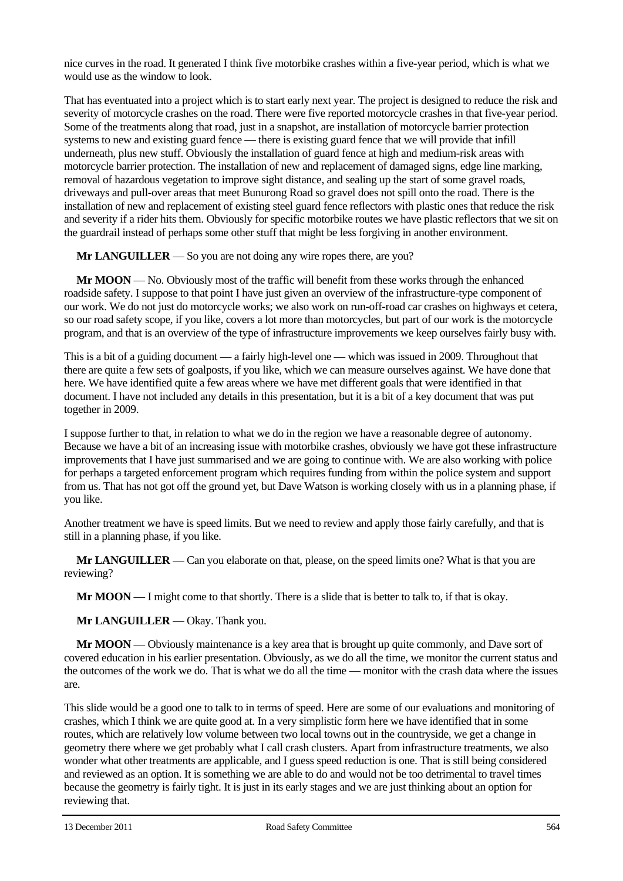nice curves in the road. It generated I think five motorbike crashes within a five-year period, which is what we would use as the window to look.

That has eventuated into a project which is to start early next year. The project is designed to reduce the risk and severity of motorcycle crashes on the road. There were five reported motorcycle crashes in that five-year period. Some of the treatments along that road, just in a snapshot, are installation of motorcycle barrier protection systems to new and existing guard fence — there is existing guard fence that we will provide that infill underneath, plus new stuff. Obviously the installation of guard fence at high and medium-risk areas with motorcycle barrier protection. The installation of new and replacement of damaged signs, edge line marking, removal of hazardous vegetation to improve sight distance, and sealing up the start of some gravel roads, driveways and pull-over areas that meet Bunurong Road so gravel does not spill onto the road. There is the installation of new and replacement of existing steel guard fence reflectors with plastic ones that reduce the risk and severity if a rider hits them. Obviously for specific motorbike routes we have plastic reflectors that we sit on the guardrail instead of perhaps some other stuff that might be less forgiving in another environment.

**Mr LANGUILLER** — So you are not doing any wire ropes there, are you?

**Mr MOON** — No. Obviously most of the traffic will benefit from these works through the enhanced roadside safety. I suppose to that point I have just given an overview of the infrastructure-type component of our work. We do not just do motorcycle works; we also work on run-off-road car crashes on highways et cetera, so our road safety scope, if you like, covers a lot more than motorcycles, but part of our work is the motorcycle program, and that is an overview of the type of infrastructure improvements we keep ourselves fairly busy with.

This is a bit of a guiding document — a fairly high-level one — which was issued in 2009. Throughout that there are quite a few sets of goalposts, if you like, which we can measure ourselves against. We have done that here. We have identified quite a few areas where we have met different goals that were identified in that document. I have not included any details in this presentation, but it is a bit of a key document that was put together in 2009.

I suppose further to that, in relation to what we do in the region we have a reasonable degree of autonomy. Because we have a bit of an increasing issue with motorbike crashes, obviously we have got these infrastructure improvements that I have just summarised and we are going to continue with. We are also working with police for perhaps a targeted enforcement program which requires funding from within the police system and support from us. That has not got off the ground yet, but Dave Watson is working closely with us in a planning phase, if you like.

Another treatment we have is speed limits. But we need to review and apply those fairly carefully, and that is still in a planning phase, if you like.

**Mr LANGUILLER** — Can you elaborate on that, please, on the speed limits one? What is that you are reviewing?

**Mr MOON** — I might come to that shortly. There is a slide that is better to talk to, if that is okay.

**Mr LANGUILLER** — Okay. Thank you.

**Mr MOON** — Obviously maintenance is a key area that is brought up quite commonly, and Dave sort of covered education in his earlier presentation. Obviously, as we do all the time, we monitor the current status and the outcomes of the work we do. That is what we do all the time — monitor with the crash data where the issues are.

This slide would be a good one to talk to in terms of speed. Here are some of our evaluations and monitoring of crashes, which I think we are quite good at. In a very simplistic form here we have identified that in some routes, which are relatively low volume between two local towns out in the countryside, we get a change in geometry there where we get probably what I call crash clusters. Apart from infrastructure treatments, we also wonder what other treatments are applicable, and I guess speed reduction is one. That is still being considered and reviewed as an option. It is something we are able to do and would not be too detrimental to travel times because the geometry is fairly tight. It is just in its early stages and we are just thinking about an option for reviewing that.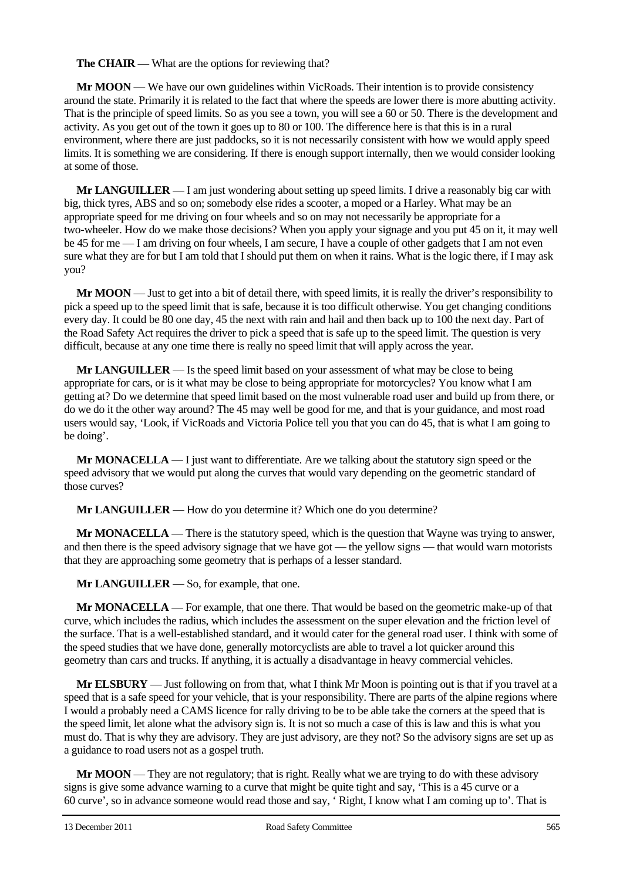**The CHAIR** — What are the options for reviewing that?

**Mr MOON** — We have our own guidelines within VicRoads. Their intention is to provide consistency around the state. Primarily it is related to the fact that where the speeds are lower there is more abutting activity. That is the principle of speed limits. So as you see a town, you will see a 60 or 50. There is the development and activity. As you get out of the town it goes up to 80 or 100. The difference here is that this is in a rural environment, where there are just paddocks, so it is not necessarily consistent with how we would apply speed limits. It is something we are considering. If there is enough support internally, then we would consider looking at some of those.

**Mr LANGUILLER** — I am just wondering about setting up speed limits. I drive a reasonably big car with big, thick tyres, ABS and so on; somebody else rides a scooter, a moped or a Harley. What may be an appropriate speed for me driving on four wheels and so on may not necessarily be appropriate for a two-wheeler. How do we make those decisions? When you apply your signage and you put 45 on it, it may well be 45 for me — I am driving on four wheels, I am secure, I have a couple of other gadgets that I am not even sure what they are for but I am told that I should put them on when it rains. What is the logic there, if I may ask you?

**Mr MOON** — Just to get into a bit of detail there, with speed limits, it is really the driver's responsibility to pick a speed up to the speed limit that is safe, because it is too difficult otherwise. You get changing conditions every day. It could be 80 one day, 45 the next with rain and hail and then back up to 100 the next day. Part of the Road Safety Act requires the driver to pick a speed that is safe up to the speed limit. The question is very difficult, because at any one time there is really no speed limit that will apply across the year.

**Mr LANGUILLER** — Is the speed limit based on your assessment of what may be close to being appropriate for cars, or is it what may be close to being appropriate for motorcycles? You know what I am getting at? Do we determine that speed limit based on the most vulnerable road user and build up from there, or do we do it the other way around? The 45 may well be good for me, and that is your guidance, and most road users would say, 'Look, if VicRoads and Victoria Police tell you that you can do 45, that is what I am going to be doing'.

**Mr MONACELLA** — I just want to differentiate. Are we talking about the statutory sign speed or the speed advisory that we would put along the curves that would vary depending on the geometric standard of those curves?

**Mr LANGUILLER** — How do you determine it? Which one do you determine?

**Mr MONACELLA** — There is the statutory speed, which is the question that Wayne was trying to answer, and then there is the speed advisory signage that we have got — the yellow signs — that would warn motorists that they are approaching some geometry that is perhaps of a lesser standard.

**Mr LANGUILLER** — So, for example, that one.

**Mr MONACELLA** — For example, that one there. That would be based on the geometric make-up of that curve, which includes the radius, which includes the assessment on the super elevation and the friction level of the surface. That is a well-established standard, and it would cater for the general road user. I think with some of the speed studies that we have done, generally motorcyclists are able to travel a lot quicker around this geometry than cars and trucks. If anything, it is actually a disadvantage in heavy commercial vehicles.

**Mr ELSBURY** — Just following on from that, what I think Mr Moon is pointing out is that if you travel at a speed that is a safe speed for your vehicle, that is your responsibility. There are parts of the alpine regions where I would a probably need a CAMS licence for rally driving to be to be able take the corners at the speed that is the speed limit, let alone what the advisory sign is. It is not so much a case of this is law and this is what you must do. That is why they are advisory. They are just advisory, are they not? So the advisory signs are set up as a guidance to road users not as a gospel truth.

**Mr MOON** — They are not regulatory; that is right. Really what we are trying to do with these advisory signs is give some advance warning to a curve that might be quite tight and say, 'This is a 45 curve or a 60 curve', so in advance someone would read those and say, ' Right, I know what I am coming up to'. That is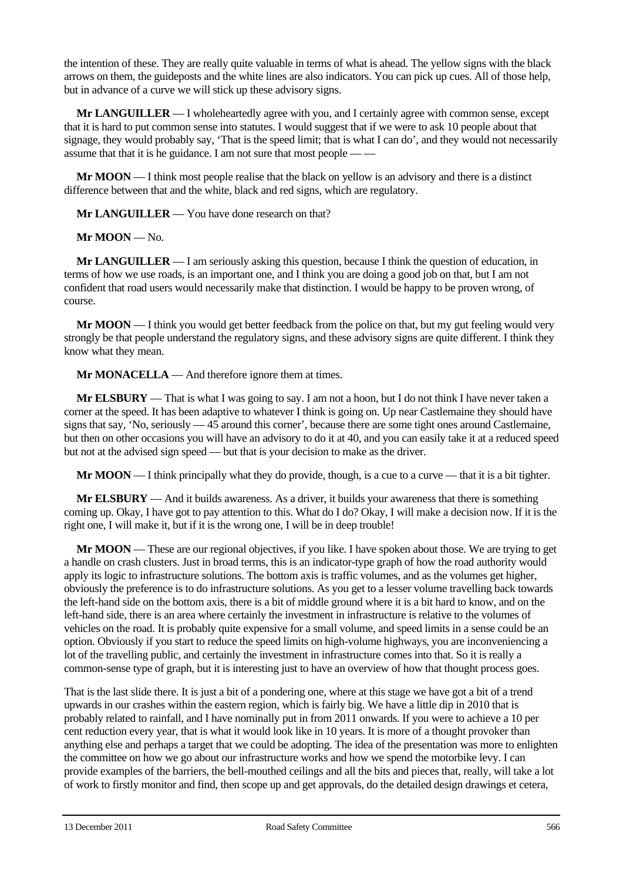the intention of these. They are really quite valuable in terms of what is ahead. The yellow signs with the black arrows on them, the guideposts and the white lines are also indicators. You can pick up cues. All of those help, but in advance of a curve we will stick up these advisory signs.

**Mr LANGUILLER** — I wholeheartedly agree with you, and I certainly agree with common sense, except that it is hard to put common sense into statutes. I would suggest that if we were to ask 10 people about that signage, they would probably say, 'That is the speed limit; that is what I can do', and they would not necessarily assume that that it is he guidance. I am not sure that most people — —

**Mr MOON** — I think most people realise that the black on yellow is an advisory and there is a distinct difference between that and the white, black and red signs, which are regulatory.

**Mr LANGUILLER** — You have done research on that?

**Mr MOON** — No.

**Mr LANGUILLER** — I am seriously asking this question, because I think the question of education, in terms of how we use roads, is an important one, and I think you are doing a good job on that, but I am not confident that road users would necessarily make that distinction. I would be happy to be proven wrong, of course.

**Mr MOON** — I think you would get better feedback from the police on that, but my gut feeling would very strongly be that people understand the regulatory signs, and these advisory signs are quite different. I think they know what they mean.

**Mr MONACELLA** — And therefore ignore them at times.

**Mr ELSBURY** — That is what I was going to say. I am not a hoon, but I do not think I have never taken a corner at the speed. It has been adaptive to whatever I think is going on. Up near Castlemaine they should have signs that say, 'No, seriously — 45 around this corner', because there are some tight ones around Castlemaine, but then on other occasions you will have an advisory to do it at 40, and you can easily take it at a reduced speed but not at the advised sign speed — but that is your decision to make as the driver.

**Mr MOON** — I think principally what they do provide, though, is a cue to a curve — that it is a bit tighter.

**Mr ELSBURY** — And it builds awareness. As a driver, it builds your awareness that there is something coming up. Okay, I have got to pay attention to this. What do I do? Okay, I will make a decision now. If it is the right one, I will make it, but if it is the wrong one, I will be in deep trouble!

**Mr MOON** — These are our regional objectives, if you like. I have spoken about those. We are trying to get a handle on crash clusters. Just in broad terms, this is an indicator-type graph of how the road authority would apply its logic to infrastructure solutions. The bottom axis is traffic volumes, and as the volumes get higher, obviously the preference is to do infrastructure solutions. As you get to a lesser volume travelling back towards the left-hand side on the bottom axis, there is a bit of middle ground where it is a bit hard to know, and on the left-hand side, there is an area where certainly the investment in infrastructure is relative to the volumes of vehicles on the road. It is probably quite expensive for a small volume, and speed limits in a sense could be an option. Obviously if you start to reduce the speed limits on high-volume highways, you are inconveniencing a lot of the travelling public, and certainly the investment in infrastructure comes into that. So it is really a common-sense type of graph, but it is interesting just to have an overview of how that thought process goes.

That is the last slide there. It is just a bit of a pondering one, where at this stage we have got a bit of a trend upwards in our crashes within the eastern region, which is fairly big. We have a little dip in 2010 that is probably related to rainfall, and I have nominally put in from 2011 onwards. If you were to achieve a 10 per cent reduction every year, that is what it would look like in 10 years. It is more of a thought provoker than anything else and perhaps a target that we could be adopting. The idea of the presentation was more to enlighten the committee on how we go about our infrastructure works and how we spend the motorbike levy. I can provide examples of the barriers, the bell-mouthed ceilings and all the bits and pieces that, really, will take a lot of work to firstly monitor and find, then scope up and get approvals, do the detailed design drawings et cetera,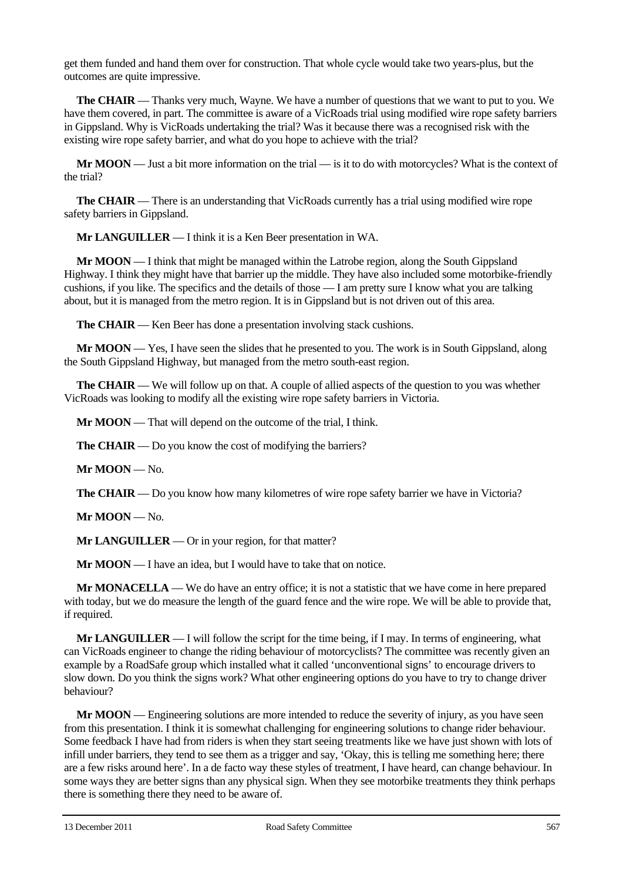get them funded and hand them over for construction. That whole cycle would take two years-plus, but the outcomes are quite impressive.

**The CHAIR** — Thanks very much, Wayne. We have a number of questions that we want to put to you. We have them covered, in part. The committee is aware of a VicRoads trial using modified wire rope safety barriers in Gippsland. Why is VicRoads undertaking the trial? Was it because there was a recognised risk with the existing wire rope safety barrier, and what do you hope to achieve with the trial?

**Mr MOON** — Just a bit more information on the trial — is it to do with motorcycles? What is the context of the trial?

**The CHAIR** — There is an understanding that VicRoads currently has a trial using modified wire rope safety barriers in Gippsland.

**Mr LANGUILLER** — I think it is a Ken Beer presentation in WA.

**Mr MOON** — I think that might be managed within the Latrobe region, along the South Gippsland Highway. I think they might have that barrier up the middle. They have also included some motorbike-friendly cushions, if you like. The specifics and the details of those — I am pretty sure I know what you are talking about, but it is managed from the metro region. It is in Gippsland but is not driven out of this area.

**The CHAIR** — Ken Beer has done a presentation involving stack cushions.

**Mr MOON** — Yes, I have seen the slides that he presented to you. The work is in South Gippsland, along the South Gippsland Highway, but managed from the metro south-east region.

**The CHAIR** — We will follow up on that. A couple of allied aspects of the question to you was whether VicRoads was looking to modify all the existing wire rope safety barriers in Victoria.

**Mr MOON** — That will depend on the outcome of the trial, I think.

**The CHAIR** — Do you know the cost of modifying the barriers?

**Mr MOON** — No.

**The CHAIR** — Do you know how many kilometres of wire rope safety barrier we have in Victoria?

**Mr MOON** — No.

**Mr LANGUILLER** — Or in your region, for that matter?

**Mr MOON** — I have an idea, but I would have to take that on notice.

**Mr MONACELLA** — We do have an entry office; it is not a statistic that we have come in here prepared with today, but we do measure the length of the guard fence and the wire rope. We will be able to provide that, if required.

**Mr LANGUILLER** — I will follow the script for the time being, if I may. In terms of engineering, what can VicRoads engineer to change the riding behaviour of motorcyclists? The committee was recently given an example by a RoadSafe group which installed what it called 'unconventional signs' to encourage drivers to slow down. Do you think the signs work? What other engineering options do you have to try to change driver behaviour?

**Mr MOON** — Engineering solutions are more intended to reduce the severity of injury, as you have seen from this presentation. I think it is somewhat challenging for engineering solutions to change rider behaviour. Some feedback I have had from riders is when they start seeing treatments like we have just shown with lots of infill under barriers, they tend to see them as a trigger and say, 'Okay, this is telling me something here; there are a few risks around here'. In a de facto way these styles of treatment, I have heard, can change behaviour. In some ways they are better signs than any physical sign. When they see motorbike treatments they think perhaps there is something there they need to be aware of.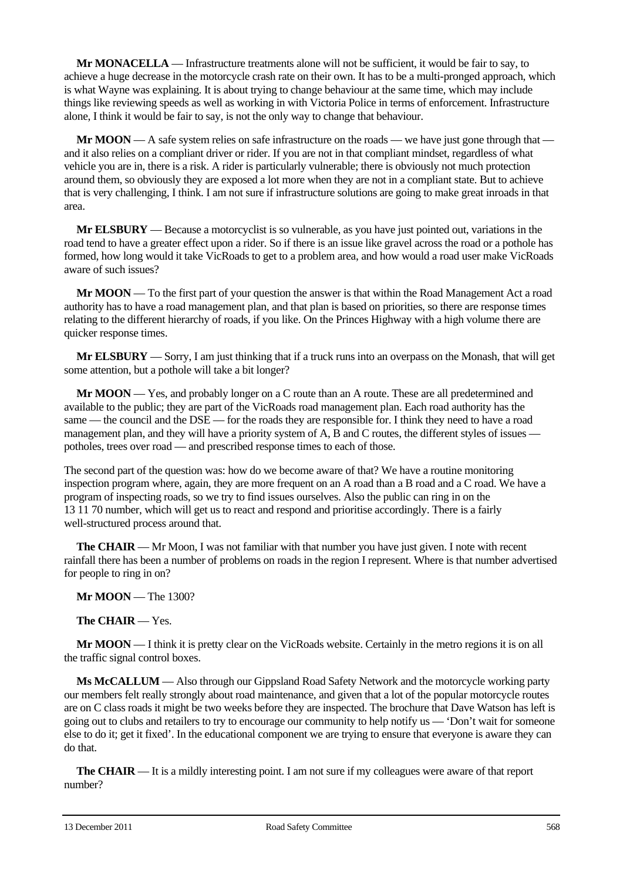**Mr MONACELLA** — Infrastructure treatments alone will not be sufficient, it would be fair to say, to achieve a huge decrease in the motorcycle crash rate on their own. It has to be a multi-pronged approach, which is what Wayne was explaining. It is about trying to change behaviour at the same time, which may include things like reviewing speeds as well as working in with Victoria Police in terms of enforcement. Infrastructure alone, I think it would be fair to say, is not the only way to change that behaviour.

**Mr MOON** — A safe system relies on safe infrastructure on the roads — we have just gone through that and it also relies on a compliant driver or rider. If you are not in that compliant mindset, regardless of what vehicle you are in, there is a risk. A rider is particularly vulnerable; there is obviously not much protection around them, so obviously they are exposed a lot more when they are not in a compliant state. But to achieve that is very challenging, I think. I am not sure if infrastructure solutions are going to make great inroads in that area.

**Mr ELSBURY** — Because a motorcyclist is so vulnerable, as you have just pointed out, variations in the road tend to have a greater effect upon a rider. So if there is an issue like gravel across the road or a pothole has formed, how long would it take VicRoads to get to a problem area, and how would a road user make VicRoads aware of such issues?

**Mr MOON** — To the first part of your question the answer is that within the Road Management Act a road authority has to have a road management plan, and that plan is based on priorities, so there are response times relating to the different hierarchy of roads, if you like. On the Princes Highway with a high volume there are quicker response times.

**Mr ELSBURY** — Sorry, I am just thinking that if a truck runs into an overpass on the Monash, that will get some attention, but a pothole will take a bit longer?

**Mr MOON** — Yes, and probably longer on a C route than an A route. These are all predetermined and available to the public; they are part of the VicRoads road management plan. Each road authority has the same — the council and the DSE — for the roads they are responsible for. I think they need to have a road management plan, and they will have a priority system of A, B and C routes, the different styles of issues potholes, trees over road — and prescribed response times to each of those.

The second part of the question was: how do we become aware of that? We have a routine monitoring inspection program where, again, they are more frequent on an A road than a B road and a C road. We have a program of inspecting roads, so we try to find issues ourselves. Also the public can ring in on the 13 11 70 number, which will get us to react and respond and prioritise accordingly. There is a fairly well-structured process around that.

**The CHAIR** — Mr Moon, I was not familiar with that number you have just given. I note with recent rainfall there has been a number of problems on roads in the region I represent. Where is that number advertised for people to ring in on?

**Mr MOON** — The 1300?

**The CHAIR** — Yes.

**Mr MOON** — I think it is pretty clear on the VicRoads website. Certainly in the metro regions it is on all the traffic signal control boxes.

**Ms McCALLUM** — Also through our Gippsland Road Safety Network and the motorcycle working party our members felt really strongly about road maintenance, and given that a lot of the popular motorcycle routes are on C class roads it might be two weeks before they are inspected. The brochure that Dave Watson has left is going out to clubs and retailers to try to encourage our community to help notify us — 'Don't wait for someone else to do it; get it fixed'. In the educational component we are trying to ensure that everyone is aware they can do that.

**The CHAIR** — It is a mildly interesting point. I am not sure if my colleagues were aware of that report number?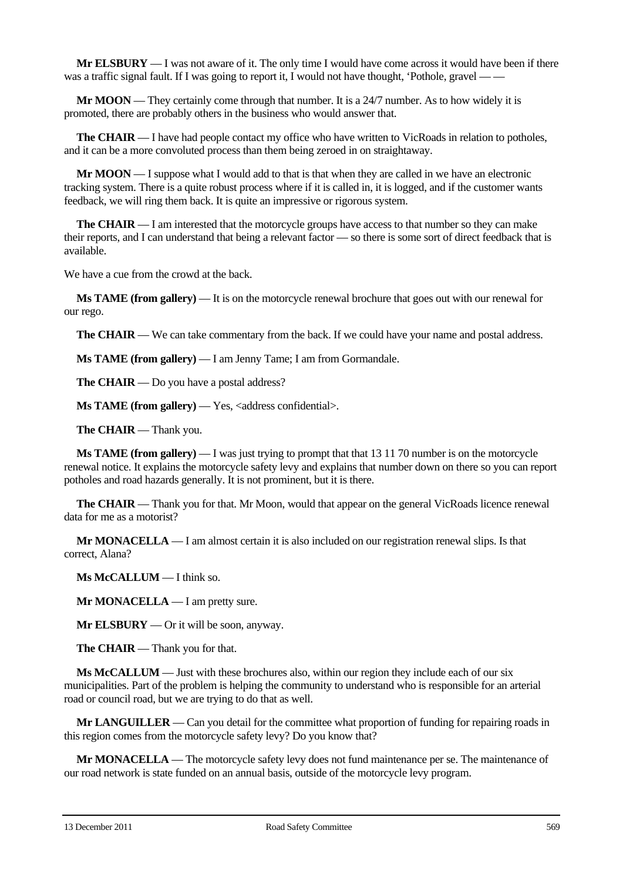**Mr ELSBURY** — I was not aware of it. The only time I would have come across it would have been if there was a traffic signal fault. If I was going to report it, I would not have thought, 'Pothole, gravel — —

**Mr MOON** — They certainly come through that number. It is a 24/7 number. As to how widely it is promoted, there are probably others in the business who would answer that.

**The CHAIR** — I have had people contact my office who have written to VicRoads in relation to potholes, and it can be a more convoluted process than them being zeroed in on straightaway.

**Mr MOON** — I suppose what I would add to that is that when they are called in we have an electronic tracking system. There is a quite robust process where if it is called in, it is logged, and if the customer wants feedback, we will ring them back. It is quite an impressive or rigorous system.

**The CHAIR** — I am interested that the motorcycle groups have access to that number so they can make their reports, and I can understand that being a relevant factor — so there is some sort of direct feedback that is available.

We have a cue from the crowd at the back.

**Ms TAME (from gallery)** — It is on the motorcycle renewal brochure that goes out with our renewal for our rego.

**The CHAIR** — We can take commentary from the back. If we could have your name and postal address.

**Ms TAME (from gallery)** — I am Jenny Tame; I am from Gormandale.

**The CHAIR** — Do you have a postal address?

**Ms TAME (from gallery)** — Yes, <address confidential>.

**The CHAIR** — Thank you.

**Ms TAME (from gallery)** — I was just trying to prompt that that 13 11 70 number is on the motorcycle renewal notice. It explains the motorcycle safety levy and explains that number down on there so you can report potholes and road hazards generally. It is not prominent, but it is there.

**The CHAIR** — Thank you for that. Mr Moon, would that appear on the general VicRoads licence renewal data for me as a motorist?

**Mr MONACELLA** — I am almost certain it is also included on our registration renewal slips. Is that correct, Alana?

**Ms McCALLUM** — I think so.

**Mr MONACELLA** — I am pretty sure.

**Mr ELSBURY** — Or it will be soon, anyway.

**The CHAIR** — Thank you for that.

**Ms McCALLUM** — Just with these brochures also, within our region they include each of our six municipalities. Part of the problem is helping the community to understand who is responsible for an arterial road or council road, but we are trying to do that as well.

**Mr LANGUILLER** — Can you detail for the committee what proportion of funding for repairing roads in this region comes from the motorcycle safety levy? Do you know that?

**Mr MONACELLA** — The motorcycle safety levy does not fund maintenance per se. The maintenance of our road network is state funded on an annual basis, outside of the motorcycle levy program.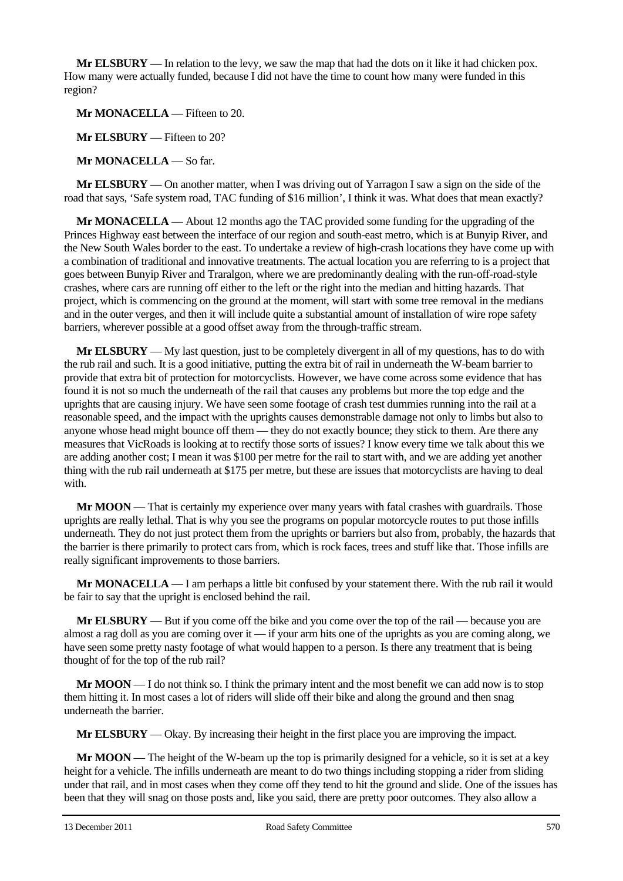**Mr ELSBURY** — In relation to the levy, we saw the map that had the dots on it like it had chicken pox. How many were actually funded, because I did not have the time to count how many were funded in this region?

**Mr MONACELLA** — Fifteen to 20.

**Mr ELSBURY** — Fifteen to 20?

**Mr MONACELLA** — So far.

**Mr ELSBURY** — On another matter, when I was driving out of Yarragon I saw a sign on the side of the road that says, 'Safe system road, TAC funding of \$16 million', I think it was. What does that mean exactly?

**Mr MONACELLA** — About 12 months ago the TAC provided some funding for the upgrading of the Princes Highway east between the interface of our region and south-east metro, which is at Bunyip River, and the New South Wales border to the east. To undertake a review of high-crash locations they have come up with a combination of traditional and innovative treatments. The actual location you are referring to is a project that goes between Bunyip River and Traralgon, where we are predominantly dealing with the run-off-road-style crashes, where cars are running off either to the left or the right into the median and hitting hazards. That project, which is commencing on the ground at the moment, will start with some tree removal in the medians and in the outer verges, and then it will include quite a substantial amount of installation of wire rope safety barriers, wherever possible at a good offset away from the through-traffic stream.

**Mr ELSBURY** — My last question, just to be completely divergent in all of my questions, has to do with the rub rail and such. It is a good initiative, putting the extra bit of rail in underneath the W-beam barrier to provide that extra bit of protection for motorcyclists. However, we have come across some evidence that has found it is not so much the underneath of the rail that causes any problems but more the top edge and the uprights that are causing injury. We have seen some footage of crash test dummies running into the rail at a reasonable speed, and the impact with the uprights causes demonstrable damage not only to limbs but also to anyone whose head might bounce off them — they do not exactly bounce; they stick to them. Are there any measures that VicRoads is looking at to rectify those sorts of issues? I know every time we talk about this we are adding another cost; I mean it was \$100 per metre for the rail to start with, and we are adding yet another thing with the rub rail underneath at \$175 per metre, but these are issues that motorcyclists are having to deal with.

**Mr MOON** — That is certainly my experience over many years with fatal crashes with guardrails. Those uprights are really lethal. That is why you see the programs on popular motorcycle routes to put those infills underneath. They do not just protect them from the uprights or barriers but also from, probably, the hazards that the barrier is there primarily to protect cars from, which is rock faces, trees and stuff like that. Those infills are really significant improvements to those barriers.

**Mr MONACELLA** — I am perhaps a little bit confused by your statement there. With the rub rail it would be fair to say that the upright is enclosed behind the rail.

**Mr ELSBURY** — But if you come off the bike and you come over the top of the rail — because you are almost a rag doll as you are coming over it — if your arm hits one of the uprights as you are coming along, we have seen some pretty nasty footage of what would happen to a person. Is there any treatment that is being thought of for the top of the rub rail?

**Mr MOON** — I do not think so. I think the primary intent and the most benefit we can add now is to stop them hitting it. In most cases a lot of riders will slide off their bike and along the ground and then snag underneath the barrier.

**Mr ELSBURY** — Okay. By increasing their height in the first place you are improving the impact.

**Mr MOON** — The height of the W-beam up the top is primarily designed for a vehicle, so it is set at a key height for a vehicle. The infills underneath are meant to do two things including stopping a rider from sliding under that rail, and in most cases when they come off they tend to hit the ground and slide. One of the issues has been that they will snag on those posts and, like you said, there are pretty poor outcomes. They also allow a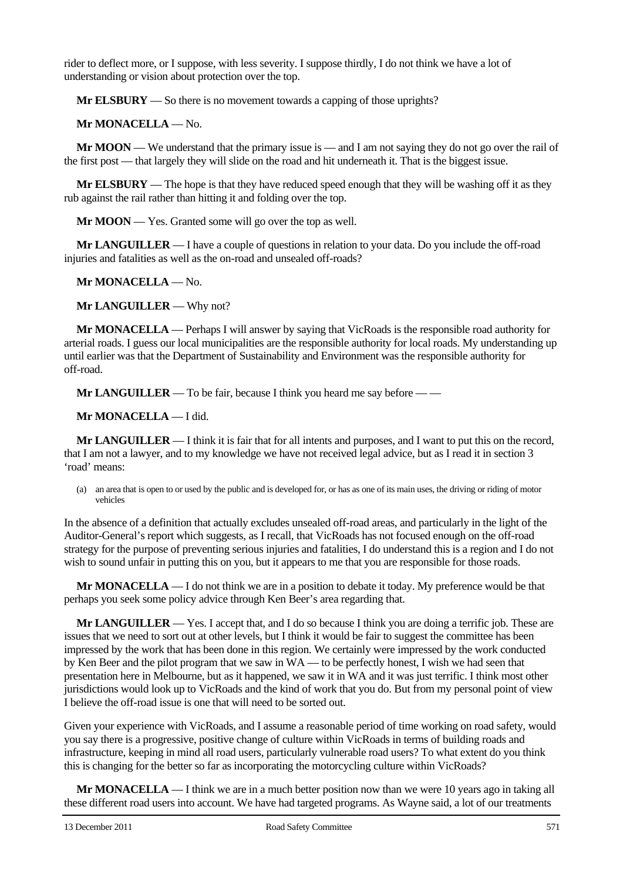rider to deflect more, or I suppose, with less severity. I suppose thirdly, I do not think we have a lot of understanding or vision about protection over the top.

**Mr ELSBURY** — So there is no movement towards a capping of those uprights?

**Mr MONACELLA** — No.

**Mr MOON** — We understand that the primary issue is — and I am not saying they do not go over the rail of the first post — that largely they will slide on the road and hit underneath it. That is the biggest issue.

**Mr ELSBURY** — The hope is that they have reduced speed enough that they will be washing off it as they rub against the rail rather than hitting it and folding over the top.

**Mr MOON** — Yes. Granted some will go over the top as well.

**Mr LANGUILLER** — I have a couple of questions in relation to your data. Do you include the off-road injuries and fatalities as well as the on-road and unsealed off-roads?

**Mr MONACELLA** — No.

**Mr LANGUILLER** — Why not?

**Mr MONACELLA** — Perhaps I will answer by saying that VicRoads is the responsible road authority for arterial roads. I guess our local municipalities are the responsible authority for local roads. My understanding up until earlier was that the Department of Sustainability and Environment was the responsible authority for off-road.

**Mr LANGUILLER** — To be fair, because I think you heard me say before — —

**Mr MONACELLA** — I did.

**Mr LANGUILLER** — I think it is fair that for all intents and purposes, and I want to put this on the record, that I am not a lawyer, and to my knowledge we have not received legal advice, but as I read it in section 3 'road' means:

(a) an area that is open to or used by the public and is developed for, or has as one of its main uses, the driving or riding of motor vehicles

In the absence of a definition that actually excludes unsealed off-road areas, and particularly in the light of the Auditor-General's report which suggests, as I recall, that VicRoads has not focused enough on the off-road strategy for the purpose of preventing serious injuries and fatalities, I do understand this is a region and I do not wish to sound unfair in putting this on you, but it appears to me that you are responsible for those roads.

**Mr MONACELLA** — I do not think we are in a position to debate it today. My preference would be that perhaps you seek some policy advice through Ken Beer's area regarding that.

**Mr LANGUILLER** — Yes. I accept that, and I do so because I think you are doing a terrific job. These are issues that we need to sort out at other levels, but I think it would be fair to suggest the committee has been impressed by the work that has been done in this region. We certainly were impressed by the work conducted by Ken Beer and the pilot program that we saw in WA — to be perfectly honest, I wish we had seen that presentation here in Melbourne, but as it happened, we saw it in WA and it was just terrific. I think most other jurisdictions would look up to VicRoads and the kind of work that you do. But from my personal point of view I believe the off-road issue is one that will need to be sorted out.

Given your experience with VicRoads, and I assume a reasonable period of time working on road safety, would you say there is a progressive, positive change of culture within VicRoads in terms of building roads and infrastructure, keeping in mind all road users, particularly vulnerable road users? To what extent do you think this is changing for the better so far as incorporating the motorcycling culture within VicRoads?

**Mr MONACELLA** — I think we are in a much better position now than we were 10 years ago in taking all these different road users into account. We have had targeted programs. As Wayne said, a lot of our treatments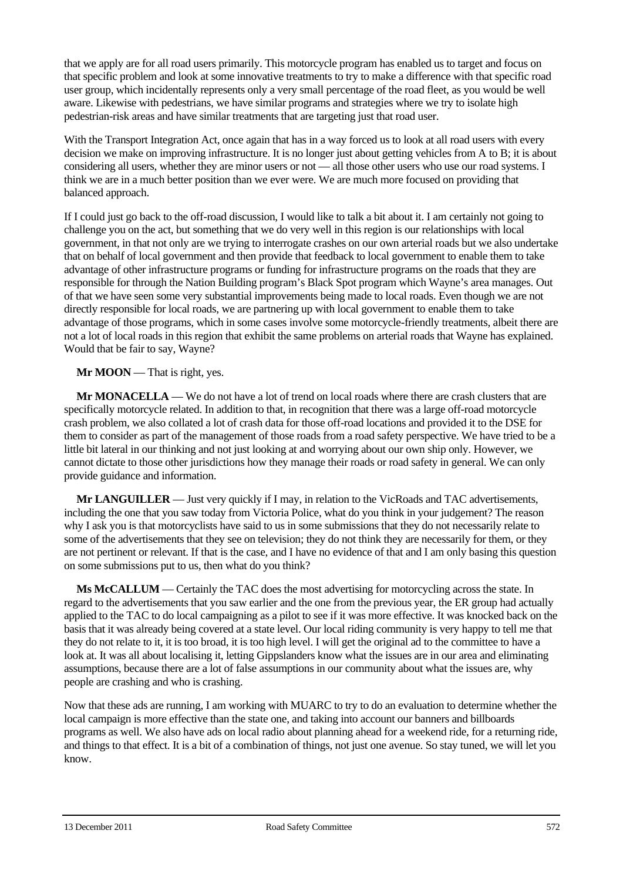that we apply are for all road users primarily. This motorcycle program has enabled us to target and focus on that specific problem and look at some innovative treatments to try to make a difference with that specific road user group, which incidentally represents only a very small percentage of the road fleet, as you would be well aware. Likewise with pedestrians, we have similar programs and strategies where we try to isolate high pedestrian-risk areas and have similar treatments that are targeting just that road user.

With the Transport Integration Act, once again that has in a way forced us to look at all road users with every decision we make on improving infrastructure. It is no longer just about getting vehicles from A to B; it is about considering all users, whether they are minor users or not — all those other users who use our road systems. I think we are in a much better position than we ever were. We are much more focused on providing that balanced approach.

If I could just go back to the off-road discussion, I would like to talk a bit about it. I am certainly not going to challenge you on the act, but something that we do very well in this region is our relationships with local government, in that not only are we trying to interrogate crashes on our own arterial roads but we also undertake that on behalf of local government and then provide that feedback to local government to enable them to take advantage of other infrastructure programs or funding for infrastructure programs on the roads that they are responsible for through the Nation Building program's Black Spot program which Wayne's area manages. Out of that we have seen some very substantial improvements being made to local roads. Even though we are not directly responsible for local roads, we are partnering up with local government to enable them to take advantage of those programs, which in some cases involve some motorcycle-friendly treatments, albeit there are not a lot of local roads in this region that exhibit the same problems on arterial roads that Wayne has explained. Would that be fair to say, Wayne?

**Mr MOON** — That is right, yes.

**Mr MONACELLA** — We do not have a lot of trend on local roads where there are crash clusters that are specifically motorcycle related. In addition to that, in recognition that there was a large off-road motorcycle crash problem, we also collated a lot of crash data for those off-road locations and provided it to the DSE for them to consider as part of the management of those roads from a road safety perspective. We have tried to be a little bit lateral in our thinking and not just looking at and worrying about our own ship only. However, we cannot dictate to those other jurisdictions how they manage their roads or road safety in general. We can only provide guidance and information.

**Mr LANGUILLER** — Just very quickly if I may, in relation to the VicRoads and TAC advertisements, including the one that you saw today from Victoria Police, what do you think in your judgement? The reason why I ask you is that motorcyclists have said to us in some submissions that they do not necessarily relate to some of the advertisements that they see on television; they do not think they are necessarily for them, or they are not pertinent or relevant. If that is the case, and I have no evidence of that and I am only basing this question on some submissions put to us, then what do you think?

**Ms McCALLUM** — Certainly the TAC does the most advertising for motorcycling across the state. In regard to the advertisements that you saw earlier and the one from the previous year, the ER group had actually applied to the TAC to do local campaigning as a pilot to see if it was more effective. It was knocked back on the basis that it was already being covered at a state level. Our local riding community is very happy to tell me that they do not relate to it, it is too broad, it is too high level. I will get the original ad to the committee to have a look at. It was all about localising it, letting Gippslanders know what the issues are in our area and eliminating assumptions, because there are a lot of false assumptions in our community about what the issues are, why people are crashing and who is crashing.

Now that these ads are running, I am working with MUARC to try to do an evaluation to determine whether the local campaign is more effective than the state one, and taking into account our banners and billboards programs as well. We also have ads on local radio about planning ahead for a weekend ride, for a returning ride, and things to that effect. It is a bit of a combination of things, not just one avenue. So stay tuned, we will let you know.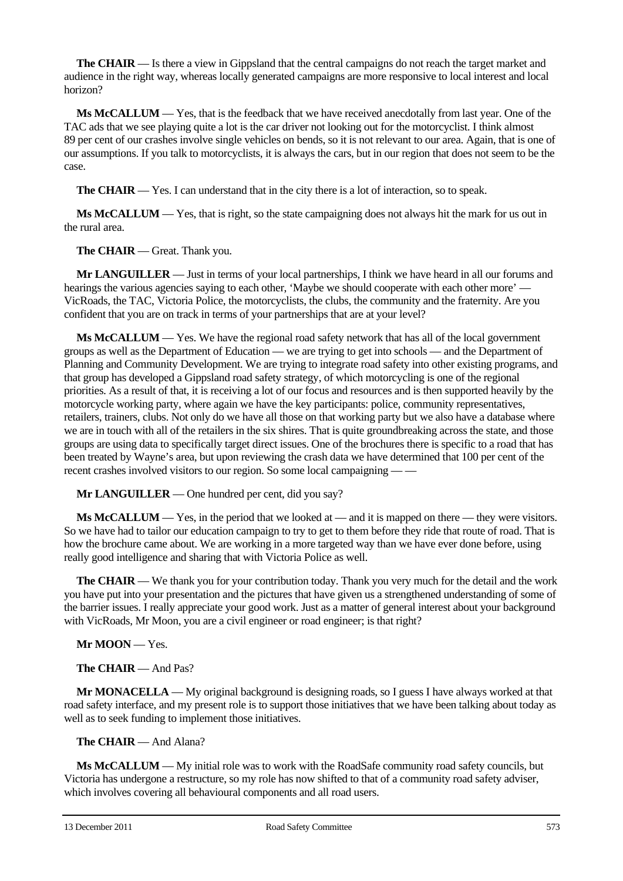**The CHAIR** — Is there a view in Gippsland that the central campaigns do not reach the target market and audience in the right way, whereas locally generated campaigns are more responsive to local interest and local horizon?

**Ms McCALLUM** — Yes, that is the feedback that we have received anecdotally from last year. One of the TAC ads that we see playing quite a lot is the car driver not looking out for the motorcyclist. I think almost 89 per cent of our crashes involve single vehicles on bends, so it is not relevant to our area. Again, that is one of our assumptions. If you talk to motorcyclists, it is always the cars, but in our region that does not seem to be the case.

**The CHAIR** — Yes. I can understand that in the city there is a lot of interaction, so to speak.

**Ms McCALLUM** — Yes, that is right, so the state campaigning does not always hit the mark for us out in the rural area.

**The CHAIR** — Great. Thank you.

**Mr LANGUILLER** — Just in terms of your local partnerships, I think we have heard in all our forums and hearings the various agencies saying to each other, 'Maybe we should cooperate with each other more' — VicRoads, the TAC, Victoria Police, the motorcyclists, the clubs, the community and the fraternity. Are you confident that you are on track in terms of your partnerships that are at your level?

**Ms McCALLUM** — Yes. We have the regional road safety network that has all of the local government groups as well as the Department of Education — we are trying to get into schools — and the Department of Planning and Community Development. We are trying to integrate road safety into other existing programs, and that group has developed a Gippsland road safety strategy, of which motorcycling is one of the regional priorities. As a result of that, it is receiving a lot of our focus and resources and is then supported heavily by the motorcycle working party, where again we have the key participants: police, community representatives, retailers, trainers, clubs. Not only do we have all those on that working party but we also have a database where we are in touch with all of the retailers in the six shires. That is quite groundbreaking across the state, and those groups are using data to specifically target direct issues. One of the brochures there is specific to a road that has been treated by Wayne's area, but upon reviewing the crash data we have determined that 100 per cent of the recent crashes involved visitors to our region. So some local campaigning — —

**Mr LANGUILLER** — One hundred per cent, did you say?

**Ms McCALLUM** — Yes, in the period that we looked at — and it is mapped on there — they were visitors. So we have had to tailor our education campaign to try to get to them before they ride that route of road. That is how the brochure came about. We are working in a more targeted way than we have ever done before, using really good intelligence and sharing that with Victoria Police as well.

**The CHAIR** — We thank you for your contribution today. Thank you very much for the detail and the work you have put into your presentation and the pictures that have given us a strengthened understanding of some of the barrier issues. I really appreciate your good work. Just as a matter of general interest about your background with VicRoads, Mr Moon, you are a civil engineer or road engineer; is that right?

**Mr MOON** — Yes.

**The CHAIR** — And Pas?

**Mr MONACELLA** — My original background is designing roads, so I guess I have always worked at that road safety interface, and my present role is to support those initiatives that we have been talking about today as well as to seek funding to implement those initiatives.

**The CHAIR** — And Alana?

**Ms McCALLUM** — My initial role was to work with the RoadSafe community road safety councils, but Victoria has undergone a restructure, so my role has now shifted to that of a community road safety adviser, which involves covering all behavioural components and all road users.